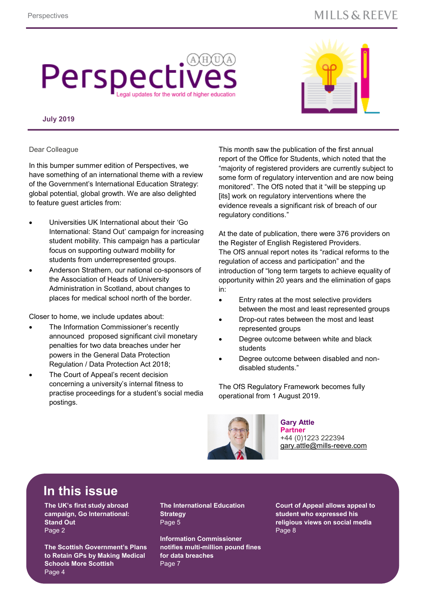### **MILLS & REEVE**

# Perspecti I updates for the world of higher education

#### **July 2019**



Dear Colleague

In this bumper summer edition of Perspectives, we have something of an international theme with a review of the Government's International Education Strategy: global potential, global growth. We are also delighted to feature guest articles from:

- Universities UK International about their 'Go International: Stand Out' campaign for increasing student mobility. This campaign has a particular focus on supporting outward mobility for students from underrepresented groups.
- Anderson Strathern, our national co-sponsors of the Association of Heads of University Administration in Scotland, about changes to places for medical school north of the border.

Closer to home, we include updates about:

- The Information Commissioner's recently announced proposed significant civil monetary penalties for two data breaches under her powers in the General Data Protection Regulation / Data Protection Act 2018;
- The Court of Appeal's recent decision concerning a university's internal fitness to practise proceedings for a student's social media postings.

This month saw the publication of the first annual report of the Office for Students, which noted that the "majority of registered providers are currently subject to some form of regulatory intervention and are now being monitored". The OfS noted that it "will be stepping up [its] work on regulatory interventions where the evidence reveals a significant risk of breach of our regulatory conditions."

At the date of publication, there were 376 providers on the Register of English Registered Providers. The OfS annual report notes its "radical reforms to the regulation of access and participation" and the introduction of "long term targets to achieve equality of opportunity within 20 years and the elimination of gaps in:

- Entry rates at the most selective providers between the most and least represented groups
- Drop-out rates between the most and least represented groups
- Degree outcome between white and black students
- Degree outcome between disabled and nondisabled students."

The OfS Regulatory Framework becomes fully operational from 1 August 2019.



**Gary Attle Partner** +44 (0)1223 222394 [gary.attle@mills](mailto:gary.attle@mills-reeve.com)-reeve.com

### **In this issue**

**The UK's first study abroad campaign, Go International: Stand Out** Page 2

**The Scottish Government's Plans to Retain GPs by Making Medical Schools More Scottish** Page 4

**The International Education Strategy** Page 5

**Information Commissioner notifies multi-million pound fines for data breaches** Page 7

**Court of Appeal allows appeal to student who expressed his religious views on social media** Page 8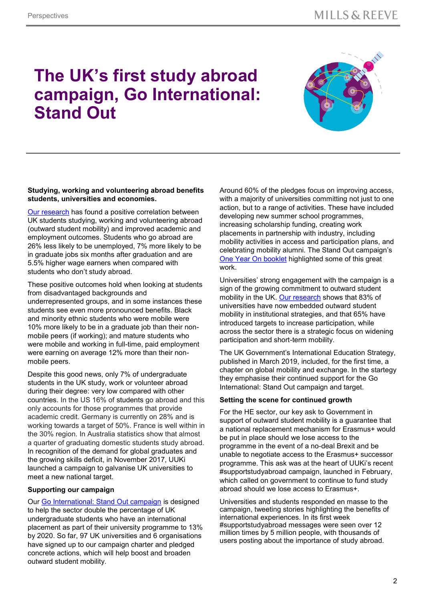## **The UK's first study abroad campaign, Go International: Stand Out**



#### **Studying, working and volunteering abroad benefits students, universities and economies.**

[Our research](https://www.universitiesuk.ac.uk/International/Documents/2019/Gone-Intl-2019.pdf) has found a positive correlation between UK students studying, working and volunteering abroad (outward student mobility) and improved academic and employment outcomes. Students who go abroad are 26% less likely to be unemployed, 7% more likely to be in graduate jobs six months after graduation and are 5.5% higher wage earners when compared with students who don't study abroad.

These positive outcomes hold when looking at students from disadvantaged backgrounds and underrepresented groups, and in some instances these students see even more pronounced benefits. Black and minority ethnic students who were mobile were 10% more likely to be in a graduate job than their nonmobile peers (if working); and mature students who were mobile and working in full-time, paid employment were earning on average 12% more than their nonmobile peers.

Despite this good news, only 7% of undergraduate students in the UK study, work or volunteer abroad during their degree: very low compared with other countries. In the US 16% of students go abroad and this only accounts for those programmes that provide academic credit. Germany is currently on 28% and is working towards a target of 50%. France is well within in the 30% region. In Australia statistics show that almost a quarter of graduating domestic students study abroad. In recognition of the demand for global graduates and the growing skills deficit, in November 2017, UUKi launched a campaign to galvanise UK universities to meet a new national target.

#### **Supporting our campaign**

Our [Go International: Stand Out campaign](https://www.universitiesuk.ac.uk/International/go-international/stand-out) is designed to help the sector double the percentage of UK undergraduate students who have an international placement as part of their university programme to 13% by 2020. So far, 97 UK universities and 6 organisations have signed up to our campaign charter and pledged concrete actions, which will help boost and broaden outward student mobility.

Around 60% of the pledges focus on improving access, with a majority of universities committing not just to one action, but to a range of activities. These have included developing new summer school programmes, increasing scholarship funding, creating work placements in partnership with industry, including mobility activities in access and participation plans, and celebrating mobility alumni. The Stand Out campaign's [One Year On booklet](https://www.universitiesuk.ac.uk/International/go-international/stand-out/Documents/GoIntl%201%20year%20on.pdf) highlighted some of this great work.

Universities' strong engagement with the campaign is a sign of the growing commitment to outward student mobility in the UK. [Our research](https://www.universitiesuk.ac.uk/International/Documents/Mobility_management_report_2018.pdf) shows that 83% of universities have now embedded outward student mobility in institutional strategies, and that 65% have introduced targets to increase participation, while across the sector there is a strategic focus on widening participation and short-term mobility.

The UK Government's International Education Strategy, published in March 2019, included, for the first time, a chapter on global mobility and exchange. In the startegy they emphasise their continued support for the Go International: Stand Out campaign and target.

#### **Setting the scene for continued growth**

For the HE sector, our key ask to Government in support of outward student mobility is a guarantee that a national replacement mechanism for Erasmus+ would be put in place should we lose access to the programme in the event of a no-deal Brexit and be unable to negotiate access to the Erasmus+ successor programme. This ask was at the heart of UUKi's recent #supportstudyabroad campaign, launched in February, which called on government to continue to fund study abroad should we lose access to Erasmus+.

Universities and students responded en masse to the campaign, tweeting stories highlighting the benefits of international experiences. In its first week #supportstudyabroad messages were seen over 12 million times by 5 million people, with thousands of users posting about the importance of study abroad.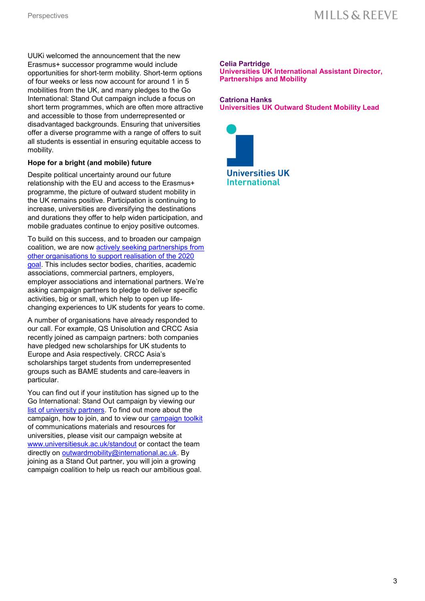UUKi welcomed the announcement that the new Erasmus+ successor programme would include opportunities for short-term mobility. Short-term options of four weeks or less now account for around 1 in 5 mobilities from the UK, and many pledges to the Go International: Stand Out campaign include a focus on short term programmes, which are often more attractive and accessible to those from underrepresented or disadvantaged backgrounds. Ensuring that universities offer a diverse programme with a range of offers to suit all students is essential in ensuring equitable access to mobility.

#### **Hope for a bright (and mobile) future**

Despite political uncertainty around our future relationship with the EU and access to the Erasmus+ programme, the picture of outward student mobility in the UK remains positive. Participation is continuing to increase, universities are diversifying the destinations and durations they offer to help widen participation, and mobile graduates continue to enjoy positive outcomes.

To build on this success, and to broaden our campaign coalition, we are now [actively seeking partnerships from](https://www.universitiesuk.ac.uk/International/go-international/stand-out/Pages/Join-the-campaign.aspx)  [other organisations to support realisation of the 2020](https://www.universitiesuk.ac.uk/International/go-international/stand-out/Pages/Join-the-campaign.aspx)  [goal.](https://www.universitiesuk.ac.uk/International/go-international/stand-out/Pages/Join-the-campaign.aspx) This includes sector bodies, charities, academic associations, commercial partners, employers, employer associations and international partners. We're asking campaign partners to pledge to deliver specific activities, big or small, which help to open up lifechanging experiences to UK students for years to come.

A number of organisations have already responded to our call. For example, QS Unisolution and CRCC Asia recently joined as campaign partners: both companies have pledged new scholarships for UK students to Europe and Asia respectively. CRCC Asia's scholarships target students from underrepresented groups such as BAME students and care-leavers in particular.

You can find out if your institution has signed up to the Go International: Stand Out campaign by viewing our [list of university partners.](https://www.universitiesuk.ac.uk/International/go-international/stand-out/Pages/about.aspx) To find out more about the campaign, how to join, and to view our [campaign toolkit](https://www.universitiesuk.ac.uk/International/go-international/stand-out/Pages/toolkit.aspx) of communications materials and resources for universities, please visit our campaign website at [www.universitiesuk.ac.uk/standout](http://www.universitiesuk.ac.uk/standout) or contact the team directly on [outwardmobility@international.ac.uk.](mailto:outwardmobility@international.ac.uk) By joining as a Stand Out partner, you will join a growing campaign coalition to help us reach our ambitious goal.

#### **Celia Partridge**

**Universities UK International Assistant Director, Partnerships and Mobility**

#### **Catriona Hanks Universities UK Outward Student Mobility Lead**

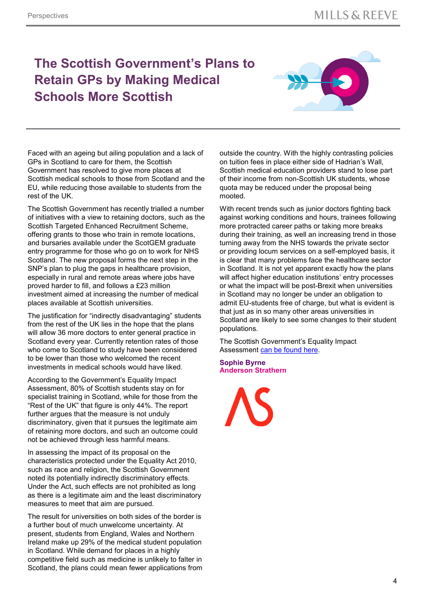### **The Scottish Government's Plans to Retain GPs by Making Medical Schools More Scottish**



Faced with an ageing but ailing population and a lack of GPs in Scotland to care for them, the Scottish Government has resolved to give more places at Scottish medical schools to those from Scotland and the EU, while reducing those available to students from the rest of the UK.

The Scottish Government has recently trialled a number of initiatives with a view to retaining doctors, such as the Scottish Targeted Enhanced Recruitment Scheme, offering grants to those who train in remote locations, and bursaries available under the ScotGEM graduate entry programme for those who go on to work for NHS Scotland. The new proposal forms the next step in the SNP's plan to plug the gaps in healthcare provision, especially in rural and remote areas where jobs have proved harder to fill, and follows a £23 million investment aimed at increasing the number of medical places available at Scottish universities.

The justification for "indirectly disadvantaging" students from the rest of the UK lies in the hope that the plans will allow 36 more doctors to enter general practice in Scotland every year. Currently retention rates of those who come to Scotland to study have been considered to be lower than those who welcomed the recent investments in medical schools would have liked.

According to the Government's Equality Impact Assessment, 80% of Scottish students stay on for specialist training in Scotland, while for those from the "Rest of the UK" that figure is only 44%. The report further argues that the measure is not unduly discriminatory, given that it pursues the legitimate aim of retaining more doctors, and such an outcome could not be achieved through less harmful means.

In assessing the impact of its proposal on the characteristics protected under the Equality Act 2010, such as race and religion, the Scottish Government noted its potentially indirectly discriminatory effects. Under the Act, such effects are not prohibited as long as there is a legitimate aim and the least discriminatory measures to meet that aim are pursued.

The result for universities on both sides of the border is a further bout of much unwelcome uncertainty. At present, students from England, Wales and Northern Ireland make up 29% of the medical student population in Scotland. While demand for places in a highly competitive field such as medicine is unlikely to falter in Scotland, the plans could mean fewer applications from outside the country. With the highly contrasting policies on tuition fees in place either side of Hadrian's Wall, Scottish medical education providers stand to lose part of their income from non-Scottish UK students, whose quota may be reduced under the proposal being mooted.

With recent trends such as junior doctors fighting back against working conditions and hours, trainees following more protracted career paths or taking more breaks during their training, as well an increasing trend in those turning away from the NHS towards the private sector or providing locum services on a self-employed basis, it is clear that many problems face the healthcare sector in Scotland. It is not yet apparent exactly how the plans will affect higher education institutions' entry processes or what the impact will be post-Brexit when universities in Scotland may no longer be under an obligation to admit EU-students free of charge, but what is evident is that just as in so many other areas universities in Scotland are likely to see some changes to their student populations.

The Scottish Government's Equality Impact Assessment [can be found here.](https://www.gov.scot/publications/increasing-number-scotland-domiciled-eu-students-studying-medicine-scottish-universities/)

**Sophie Byrne Anderson Strathern**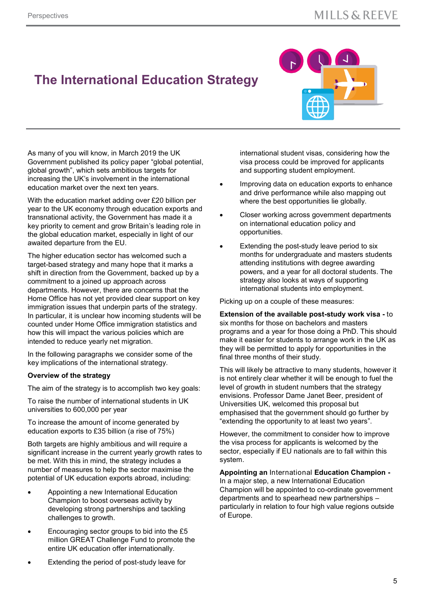### **The International Education Strategy**



As many of you will know, in March 2019 the UK Government published its policy paper "global potential, global growth", which sets ambitious targets for increasing the UK's involvement in the international education market over the next ten years.

With the education market adding over £20 billion per year to the UK economy through education exports and transnational activity, the Government has made it a key priority to cement and grow Britain's leading role in the global education market, especially in light of our awaited departure from the EU.

The higher education sector has welcomed such a target-based strategy and many hope that it marks a shift in direction from the Government, backed up by a commitment to a joined up approach across departments. However, there are concerns that the Home Office has not yet provided clear support on key immigration issues that underpin parts of the strategy. In particular, it is unclear how incoming students will be counted under Home Office immigration statistics and how this will impact the various policies which are intended to reduce yearly net migration.

In the following paragraphs we consider some of the key implications of the international strategy.

#### **Overview of the strategy**

The aim of the strategy is to accomplish two key goals:

To raise the number of international students in UK universities to 600,000 per year

To increase the amount of income generated by education exports to £35 billion (a rise of 75%)

Both targets are highly ambitious and will require a significant increase in the current yearly growth rates to be met. With this in mind, the strategy includes a number of measures to help the sector maximise the potential of UK education exports abroad, including:

- Appointing a new International Education Champion to boost overseas activity by developing strong partnerships and tackling challenges to growth.
- Encouraging sector groups to bid into the £5 million GREAT Challenge Fund to promote the entire UK education offer internationally.
- international student visas, considering how the visa process could be improved for applicants and supporting student employment.
- Improving data on education exports to enhance and drive performance while also mapping out where the best opportunities lie globally.
- Closer working across government departments on international education policy and opportunities.
- Extending the post-study leave period to six months for undergraduate and masters students attending institutions with degree awarding powers, and a year for all doctoral students. The strategy also looks at ways of supporting international students into employment.

Picking up on a couple of these measures:

#### **Extension of the available post-study work visa -** to six months for those on bachelors and masters programs and a year for those doing a PhD. This should make it easier for students to arrange work in the UK as they will be permitted to apply for opportunities in the final three months of their study.

This will likely be attractive to many students, however it is not entirely clear whether it will be enough to fuel the level of growth in student numbers that the strategy envisions. Professor Dame Janet Beer, president of Universities UK, welcomed this proposal but emphasised that the government should go further by "extending the opportunity to at least two years".

However, the commitment to consider how to improve the visa process for applicants is welcomed by the sector, especially if EU nationals are to fall within this system.

**Appointing an** International **Education Champion -** In a major step, a new International Education Champion will be appointed to co-ordinate government departments and to spearhead new partnerships – particularly in relation to four high value regions outside of Europe.

Extending the period of post-study leave for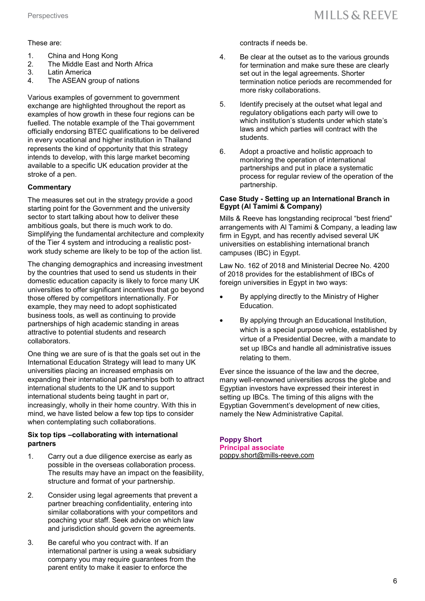#### These are:

- 1. China and Hong Kong
- 2. The Middle East and North Africa
- 3. Latin America
- 4. The ASEAN group of nations

Various examples of government to government exchange are highlighted throughout the report as examples of how growth in these four regions can be fuelled. The notable example of the Thai government officially endorsing BTEC qualifications to be delivered in every vocational and higher institution in Thailand represents the kind of opportunity that this strategy intends to develop, with this large market becoming available to a specific UK education provider at the stroke of a pen.

#### **Commentary**

The measures set out in the strategy provide a good starting point for the Government and the university sector to start talking about how to deliver these ambitious goals, but there is much work to do. Simplifying the fundamental architecture and complexity of the Tier 4 system and introducing a realistic postwork study scheme are likely to be top of the action list.

The changing demographics and increasing investment by the countries that used to send us students in their domestic education capacity is likely to force many UK universities to offer significant incentives that go beyond those offered by competitors internationally. For example, they may need to adopt sophisticated business tools, as well as continuing to provide partnerships of high academic standing in areas attractive to potential students and research collaborators.

One thing we are sure of is that the goals set out in the International Education Strategy will lead to many UK universities placing an increased emphasis on expanding their international partnerships both to attract international students to the UK and to support international students being taught in part or, increasingly, wholly in their home country. With this in mind, we have listed below a few top tips to consider when contemplating such collaborations.

#### **Six top tips –collaborating with international partners**

- 1. Carry out a due diligence exercise as early as possible in the overseas collaboration process. The results may have an impact on the feasibility, structure and format of your partnership.
- 2. Consider using legal agreements that prevent a partner breaching confidentiality, entering into similar collaborations with your competitors and poaching your staff. Seek advice on which law and jurisdiction should govern the agreements.
- 3. Be careful who you contract with. If an international partner is using a weak subsidiary company you may require guarantees from the parent entity to make it easier to enforce the

contracts if needs be.

- 4. Be clear at the outset as to the various grounds for termination and make sure these are clearly set out in the legal agreements. Shorter termination notice periods are recommended for more risky collaborations.
- 5. Identify precisely at the outset what legal and regulatory obligations each party will owe to which institution's students under which state's laws and which parties will contract with the students.
- 6. Adopt a proactive and holistic approach to monitoring the operation of international partnerships and put in place a systematic process for regular review of the operation of the partnership.

#### **Case Study - Setting up an International Branch in Egypt (Al Tamimi & Company)**

Mills & Reeve has longstanding reciprocal "best friend" arrangements with Al Tamimi & Company, a leading law firm in Egypt, and has recently advised several UK universities on establishing international branch campuses (IBC) in Egypt.

Law No. 162 of 2018 and Ministerial Decree No. 4200 of 2018 provides for the establishment of IBCs of foreign universities in Egypt in two ways:

- By applying directly to the Ministry of Higher Education.
- By applying through an Educational Institution, which is a special purpose vehicle, established by virtue of a Presidential Decree, with a mandate to set up IBCs and handle all administrative issues relating to them.

Ever since the issuance of the law and the decree, many well-renowned universities across the globe and Egyptian investors have expressed their interest in setting up IBCs. The timing of this aligns with the Egyptian Government's development of new cities, namely the New Administrative Capital.

#### **Poppy Short**

**Principal associate** [poppy.short@mills](mailto:poppy.short@mills-reeve.com)-reeve.com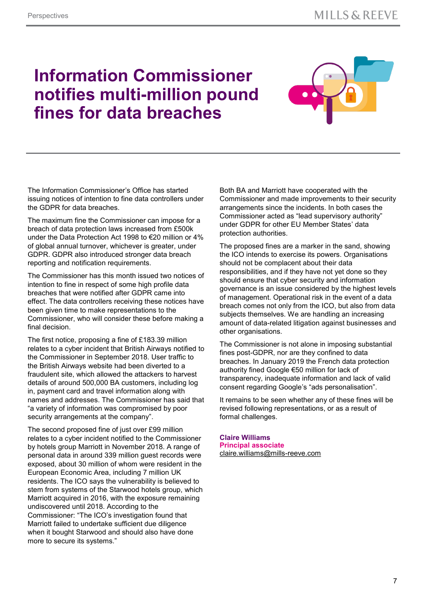## **Information Commissioner notifies multi-million pound fines for data breaches**



The Information Commissioner's Office has started issuing notices of intention to fine data controllers under the GDPR for data breaches.

The maximum fine the Commissioner can impose for a breach of data protection laws increased from £500k under the Data Protection Act 1998 to €20 million or 4% of global annual turnover, whichever is greater, under GDPR. GDPR also introduced stronger data breach reporting and notification requirements.

The Commissioner has this month issued two notices of intention to fine in respect of some high profile data breaches that were notified after GDPR came into effect. The data controllers receiving these notices have been given time to make representations to the Commissioner, who will consider these before making a final decision.

The first notice, proposing a fine of £183.39 million relates to a cyber incident that British Airways notified to the Commissioner in September 2018. User traffic to the British Airways website had been diverted to a fraudulent site, which allowed the attackers to harvest details of around 500,000 BA customers, including log in, payment card and travel information along with names and addresses. The Commissioner has said that "a variety of information was compromised by poor security arrangements at the company".

The second proposed fine of just over £99 million relates to a cyber incident notified to the Commissioner by hotels group Marriott in November 2018. A range of personal data in around 339 million guest records were exposed, about 30 million of whom were resident in the European Economic Area, including 7 million UK residents. The ICO says the vulnerability is believed to stem from systems of the Starwood hotels group, which Marriott acquired in 2016, with the exposure remaining undiscovered until 2018. According to the Commissioner: "The ICO's investigation found that Marriott failed to undertake sufficient due diligence when it bought Starwood and should also have done more to secure its systems."

Both BA and Marriott have cooperated with the Commissioner and made improvements to their security arrangements since the incidents. In both cases the Commissioner acted as "lead supervisory authority" under GDPR for other EU Member States' data protection authorities.

The proposed fines are a marker in the sand, showing the ICO intends to exercise its powers. Organisations should not be complacent about their data responsibilities, and if they have not yet done so they should ensure that cyber security and information governance is an issue considered by the highest levels of management. Operational risk in the event of a data breach comes not only from the ICO, but also from data subjects themselves. We are handling an increasing amount of data-related litigation against businesses and other organisations.

The Commissioner is not alone in imposing substantial fines post-GDPR, nor are they confined to data breaches. In January 2019 the French data protection authority fined Google €50 million for lack of transparency, inadequate information and lack of valid consent regarding Google's "ads personalisation".

It remains to be seen whether any of these fines will be revised following representations, or as a result of formal challenges.

**Claire Williams Principal associate** [claire.williams@mills](mailto:claire.williams@mills-reeve.com)-reeve.com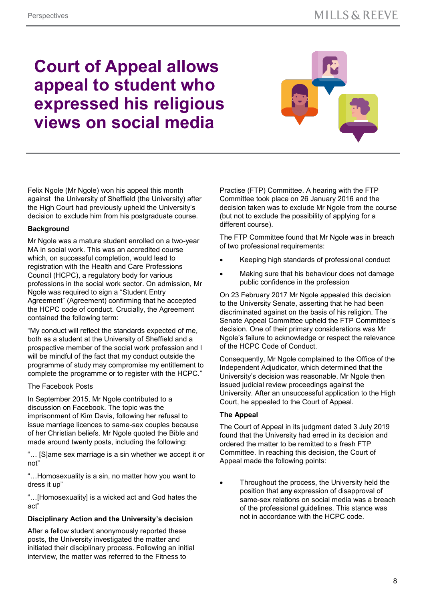## **Court of Appeal allows appeal to student who expressed his religious views on social media**



Felix Ngole (Mr Ngole) won his appeal this month against the University of Sheffield (the University) after the High Court had previously upheld the University's decision to exclude him from his postgraduate course.

#### **Background**

Mr Ngole was a mature student enrolled on a two-year MA in social work. This was an accredited course which, on successful completion, would lead to registration with the Health and Care Professions Council (HCPC), a regulatory body for various professions in the social work sector. On admission, Mr Ngole was required to sign a "Student Entry Agreement" (Agreement) confirming that he accepted the HCPC code of conduct. Crucially, the Agreement contained the following term:

"My conduct will reflect the standards expected of me, both as a student at the University of Sheffield and a prospective member of the social work profession and I will be mindful of the fact that my conduct outside the programme of study may compromise my entitlement to complete the programme or to register with the HCPC."

#### The Facebook Posts

In September 2015, Mr Ngole contributed to a discussion on Facebook. The topic was the imprisonment of Kim Davis, following her refusal to issue marriage licences to same-sex couples because of her Christian beliefs. Mr Ngole quoted the Bible and made around twenty posts, including the following:

"… [S]ame sex marriage is a sin whether we accept it or not"

"…Homosexuality is a sin, no matter how you want to dress it up"

"…[Homosexuality] is a wicked act and God hates the act"

#### **Disciplinary Action and the University's decision**

After a fellow student anonymously reported these posts, the University investigated the matter and initiated their disciplinary process. Following an initial interview, the matter was referred to the Fitness to

Practise (FTP) Committee. A hearing with the FTP Committee took place on 26 January 2016 and the decision taken was to exclude Mr Ngole from the course (but not to exclude the possibility of applying for a different course).

The FTP Committee found that Mr Ngole was in breach of two professional requirements:

- Keeping high standards of professional conduct
- Making sure that his behaviour does not damage public confidence in the profession

On 23 February 2017 Mr Ngole appealed this decision to the University Senate, asserting that he had been discriminated against on the basis of his religion. The Senate Appeal Committee upheld the FTP Committee's decision. One of their primary considerations was Mr Ngole's failure to acknowledge or respect the relevance of the HCPC Code of Conduct.

Consequently, Mr Ngole complained to the Office of the Independent Adjudicator, which determined that the University's decision was reasonable. Mr Ngole then issued judicial review proceedings against the University. After an unsuccessful application to the High Court, he appealed to the Court of Appeal.

#### **The Appeal**

The Court of Appeal in its judgment dated 3 July 2019 found that the University had erred in its decision and ordered the matter to be remitted to a fresh FTP Committee. In reaching this decision, the Court of Appeal made the following points:

 Throughout the process, the University held the position that **any** expression of disapproval of same-sex relations on social media was a breach of the professional guidelines. This stance was not in accordance with the HCPC code.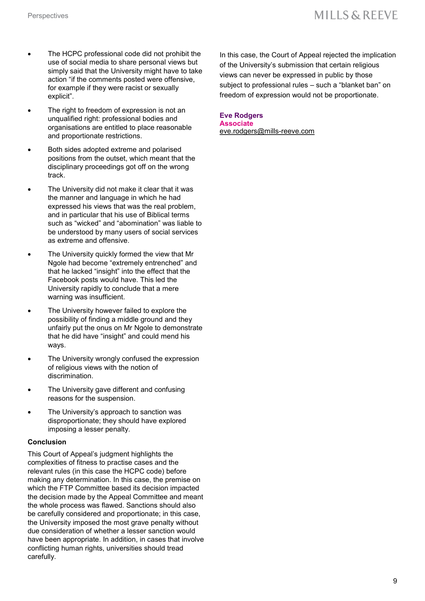- The HCPC professional code did not prohibit the use of social media to share personal views but simply said that the University might have to take action "if the comments posted were offensive, for example if they were racist or sexually explicit".
- The right to freedom of expression is not an unqualified right: professional bodies and organisations are entitled to place reasonable and proportionate restrictions.
- Both sides adopted extreme and polarised positions from the outset, which meant that the disciplinary proceedings got off on the wrong track.
- The University did not make it clear that it was the manner and language in which he had expressed his views that was the real problem, and in particular that his use of Biblical terms such as "wicked" and "abomination" was liable to be understood by many users of social services as extreme and offensive.
- The University quickly formed the view that Mr Ngole had become "extremely entrenched" and that he lacked "insight" into the effect that the Facebook posts would have. This led the University rapidly to conclude that a mere warning was insufficient.
- The University however failed to explore the possibility of finding a middle ground and they unfairly put the onus on Mr Ngole to demonstrate that he did have "insight" and could mend his ways.
- The University wrongly confused the expression of religious views with the notion of discrimination.
- The University gave different and confusing reasons for the suspension.
- The University's approach to sanction was disproportionate; they should have explored imposing a lesser penalty.

#### **Conclusion**

This Court of Appeal's judgment highlights the complexities of fitness to practise cases and the relevant rules (in this case the HCPC code) before making any determination. In this case, the premise on which the FTP Committee based its decision impacted the decision made by the Appeal Committee and meant the whole process was flawed. Sanctions should also be carefully considered and proportionate; in this case, the University imposed the most grave penalty without due consideration of whether a lesser sanction would have been appropriate. In addition, in cases that involve conflicting human rights, universities should tread carefully.

In this case, the Court of Appeal rejected the implication of the University's submission that certain religious views can never be expressed in public by those subject to professional rules – such a "blanket ban" on freedom of expression would not be proportionate.

#### **Eve Rodgers**

**Associate** [eve.rodgers@mills](mailto:eve.rodgers@mills-reeve.com)-reeve.com